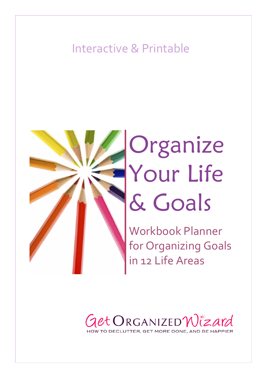# Interactive & Printable



# **Organize** Your Life & Goals

Workbook Planner for Organizing Goals in 12 Life Areas

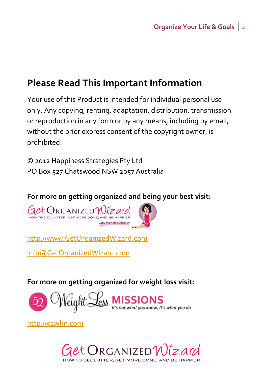## **Please Read This Important Information**

Your use of this Product is intended for individual personal use only. Any copying, renting, adaptation, distribution, transmission or reproduction in any form or by any means, including by email, without the prior express consent of the copyright owner, is prohibited.

© 2012 Happiness Strategies Pty Ltd PO Box 527 Chatswood NSW 2057 Australia

**For more on getting organized and being your best visit:**



[http://www.GetOrganizedWizard.com](http://www.getorganizedwizard.com/?utm_source=OYLG&utm_medium=PDF&utm_campaign=Download)

info@GetOrganizedWizard.com

**For more on getting organized for weight loss visit:**



[http://52wlm.com](http://52wlm.com/?utm_source=OYLG&utm_medium=PDF&utm_campaign=Download)

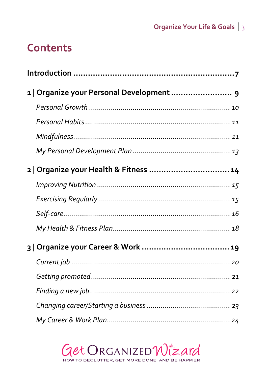## **Contents**

| 1   Organize your Personal Development  9 |  |
|-------------------------------------------|--|
|                                           |  |
|                                           |  |
|                                           |  |
|                                           |  |
| 2   Organize your Health & Fitness  14    |  |
|                                           |  |
|                                           |  |
|                                           |  |
|                                           |  |
|                                           |  |
|                                           |  |
|                                           |  |
|                                           |  |
|                                           |  |
|                                           |  |

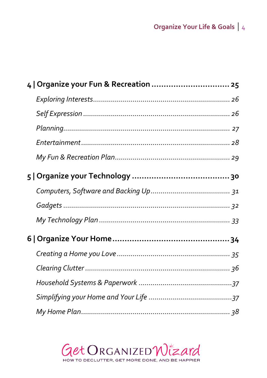| 4   Organize your Fun & Recreation  25 |  |
|----------------------------------------|--|
|                                        |  |
|                                        |  |
|                                        |  |
|                                        |  |
|                                        |  |
|                                        |  |
|                                        |  |
|                                        |  |
|                                        |  |
|                                        |  |
|                                        |  |
|                                        |  |
|                                        |  |
|                                        |  |
|                                        |  |

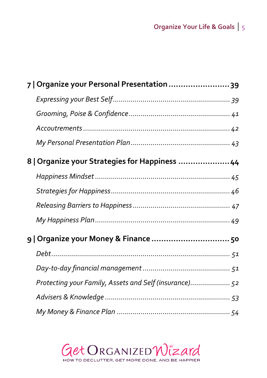| 7   Organize your Personal Presentation  39            |  |
|--------------------------------------------------------|--|
|                                                        |  |
|                                                        |  |
|                                                        |  |
|                                                        |  |
| 8   Organize your Strategies for Happiness  44         |  |
|                                                        |  |
|                                                        |  |
|                                                        |  |
|                                                        |  |
|                                                        |  |
|                                                        |  |
|                                                        |  |
| Protecting your Family, Assets and Self (insurance) 52 |  |
|                                                        |  |
|                                                        |  |

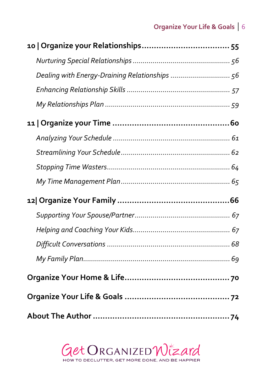## **Organize Your Life & Goals** 6

| Dealing with Energy-Draining Relationships  56 |  |
|------------------------------------------------|--|
|                                                |  |
|                                                |  |
|                                                |  |
|                                                |  |
|                                                |  |
|                                                |  |
|                                                |  |
|                                                |  |
|                                                |  |
|                                                |  |
|                                                |  |
|                                                |  |
|                                                |  |
|                                                |  |
|                                                |  |

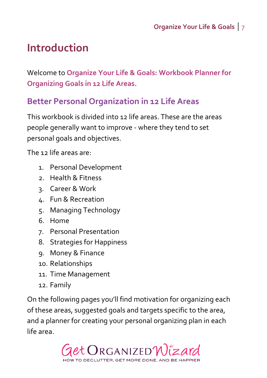# <span id="page-6-0"></span>**Introduction**

Welcome to **Organize Your Life & Goals: Workbook Planner for Organizing Goals in 12 Life Areas.**

#### **Better Personal Organization in 12 Life Areas**

This workbook is divided into 12 life areas. These are the areas people generally want to improve - where they tend to set personal goals and objectives.

The 12 life areas are:

- 1. Personal Development
- 2. Health & Fitness
- 3. Career & Work
- 4. Fun & Recreation
- 5. Managing Technology
- 6. Home
- 7. Personal Presentation
- 8. Strategies for Happiness
- 9. Money & Finance
- 10. Relationships
- 11. Time Management
- 12. Family

On the following pages you'll find motivation for organizing each of these areas, suggested goals and targets specific to the area, and a planner for creating your personal organizing plan in each life area.

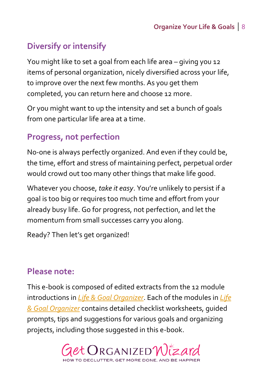## **Diversify or intensify**

You might like to set a goal from each life area – giving you 12 items of personal organization, nicely diversified across your life, to improve over the next few months. As you get them completed, you can return here and choose 12 more.

Or you might want to up the intensity and set a bunch of goals from one particular life area at a time.

#### **Progress, not perfection**

No-one is always perfectly organized. And even if they could be, the time, effort and stress of maintaining perfect, perpetual order would crowd out too many other things that make life good.

Whatever you choose, *take it easy*. You're unlikely to persist if a goal is too big or requires too much time and effort from your already busy life. Go for progress, not perfection, and let the momentum from small successes carry you along.

Ready? Then let's get organized!

#### **Please note:**

This e-book is composed of edited extracts from the 12 module introductions in *[Life & Goal Organizer](http://www.getorganizedwizard.com/products/life-and-goal-organizer/?utm_source=OYLG&utm_medium=PDF&utm_campaign=Download)*. Each of the modules in *[Life](http://www.getorganizedwizard.com/products/life-and-goal-organizer/?utm_source=OYLG&utm_medium=PDF&utm_campaign=Download)  [& Goal Organizer](http://www.getorganizedwizard.com/products/life-and-goal-organizer/?utm_source=OYLG&utm_medium=PDF&utm_campaign=Download)* contains detailed checklist worksheets, guided prompts, tips and suggestions for various goals and organizing projects, including those suggested in this e-book.

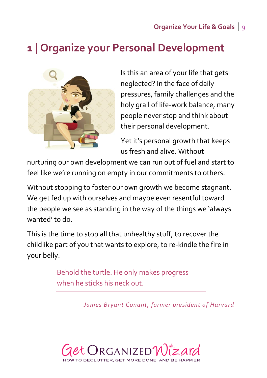# <span id="page-8-0"></span>**1 | Organize your Personal Development**



Is this an area of your life that gets neglected? In the face of daily pressures, family challenges and the holy grail of life-work balance, many people never stop and think about their personal development.

Yet it's personal growth that keeps us fresh and alive. Without

nurturing our own development we can run out of fuel and start to feel like we're running on empty in our commitments to others.

Without stopping to foster our own growth we become stagnant. We get fed up with ourselves and maybe even resentful toward the people we see as standing in the way of the things we 'always wanted' to do.

This is the time to stop all that unhealthy stuff, to recover the childlike part of you that wants to explore, to re-kindle the fire in your belly.

> Behold the turtle. He only makes progress when he sticks his neck out.

> > *James Bryant Conant, former president of Harvard*

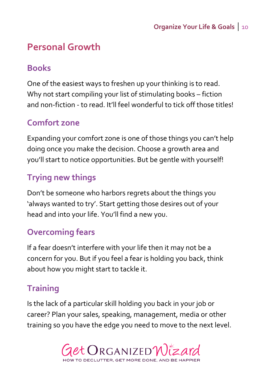## <span id="page-9-0"></span>**Personal Growth**

#### **Books**

One of the easiest ways to freshen up your thinking is to read. Why not start compiling your list of stimulating books – fiction and non-fiction - to read. It'll feel wonderful to tick off those titles!

#### **Comfort zone**

Expanding your comfort zone is one of those things you can't help doing once you make the decision. Choose a growth area and you'll start to notice opportunities. But be gentle with yourself!

## **Trying new things**

Don't be someone who harbors regrets about the things you 'always wanted to try'. Start getting those desires out of your head and into your life. You'll find a new you.

#### **Overcoming fears**

If a fear doesn't interfere with your life then it may not be a concern for you. But if you feel a fear is holding you back, think about how you might start to tackle it.

## **Training**

Is the lack of a particular skill holding you back in your job or career? Plan your sales, speaking, management, media or other training so you have the edge you need to move to the next level.

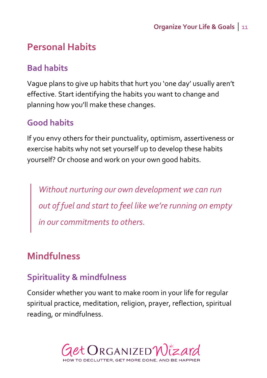## <span id="page-10-0"></span>**Personal Habits**

## **Bad habits**

Vague plans to give up habits that hurt you 'one day' usually aren't effective. Start identifying the habits you want to change and planning how you'll make these changes.

## **Good habits**

If you envy others for their punctuality, optimism, assertiveness or exercise habits why not set yourself up to develop these habits yourself? Or choose and work on your own good habits.

*Without nurturing our own development we can run out of fuel and start to feel like we're running on empty in our commitments to others.*

# <span id="page-10-1"></span>**Mindfulness**

## **Spirituality & mindfulness**

Consider whether you want to make room in your life for regular spiritual practice, meditation, religion, prayer, reflection, spiritual reading, or mindfulness.

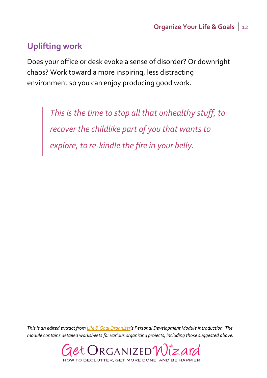## **Uplifting work**

Does your office or desk evoke a sense of disorder? Or downright chaos? Work toward a more inspiring, less distracting environment so you can enjoy producing good work.

> *This is the time to stop all that unhealthy stuff, to recover the childlike part of you that wants to explore, to re-kindle the fire in your belly.*

*This is an edited extract fro[m Life & Goal Organizer](http://www.getorganizedwizard.com/products/life-and-goal-organizer/?utm_source=OYLG&utm_medium=PDF&utm_campaign=Download)'s Personal Development Module introduction. The module contains detailed worksheets for various organizing projects, including those suggested above.*

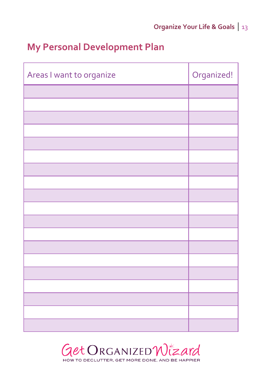# <span id="page-12-0"></span>**My Personal Development Plan**

| Areas I want to organize | Organized! |
|--------------------------|------------|
|                          |            |
|                          |            |
|                          |            |
|                          |            |
|                          |            |
|                          |            |
|                          |            |
|                          |            |
|                          |            |
|                          |            |
|                          |            |
|                          |            |
|                          |            |
|                          |            |
|                          |            |
|                          |            |
|                          |            |
|                          |            |
|                          |            |

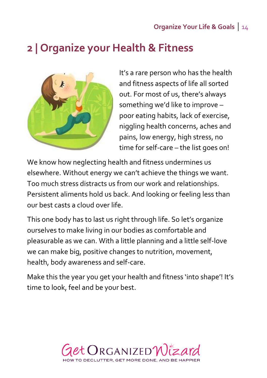# <span id="page-13-0"></span>**2 | [Organize your Health & Fitness](http://www.happinessstrategies.com/blog/2007/09/12/on-happiness-schopenhauer/)**



It's a rare person who has the health and fitness aspects of life all sorted out. For most of us, there's always something we'd like to improve – poor eating habits, lack of exercise, niggling health concerns, aches and pains, low energy, high stress, no time for self-care – the list goes on!

We know how neglecting health and fitness undermines us elsewhere. Without energy we can't achieve the things we want. Too much stress distracts us from our work and relationships. Persistent aliments hold us back. And looking or feeling less than our best casts a cloud over life.

This one body has to last us right through life. So let's organize ourselves to make living in our bodies as comfortable and pleasurable as we can. With a little planning and a little self-love we can make big, positive changes to nutrition, movement, health, body awareness and self-care.

Make this the year you get your health and fitness 'into shape'! It's time to look, feel and be your best.

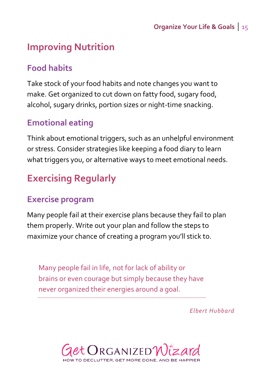## <span id="page-14-0"></span>**Improving Nutrition**

## **Food habits**

Take stock of your food habits and note changes you want to make. Get organized to cut down on fatty food, sugary food, alcohol, sugary drinks, portion sizes or night-time snacking.

## **Emotional eating**

Think about emotional triggers, such as an unhelpful environment or stress. Consider strategies like keeping a food diary to learn what triggers you, or alternative ways to meet emotional needs.

# <span id="page-14-1"></span>**Exercising Regularly**

#### **Exercise program**

Many people fail at their exercise plans because they fail to plan them properly. Write out your plan and follow the steps to maximize your chance of creating a program you'll stick to.

Many people fail in life, not for lack of ability or brains or even courage but simply because they have never organized their energies around a goal.

*Elbert Hubbard*

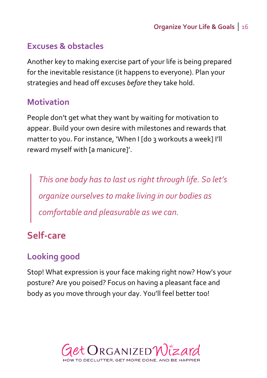#### **Excuses & obstacles**

Another key to making exercise part of your life is being prepared for the inevitable resistance (it happens to everyone). Plan your strategies and head off excuses *before* they take hold.

#### **Motivation**

People don't get what they want by waiting for motivation to appear. Build your own desire with milestones and rewards that matter to you. For instance, 'When I [do 3 workouts a week] I'll reward myself with [a manicure]'.

*This one body has to last us right through life. So let's organize ourselves to make living in our bodies as comfortable and pleasurable as we can.*

## <span id="page-15-0"></span>**Self-care**

#### **Looking good**

Stop! What expression is your face making right now? How's your posture? Are you poised? Focus on having a pleasant face and body as you move through your day. You'll feel better too!

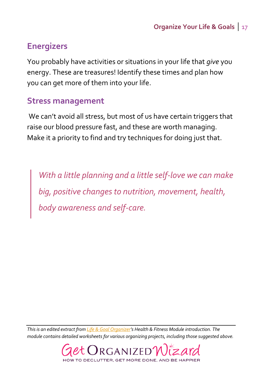## **Energizers**

You probably have activities or situations in your life that *give* you energy. These are treasures! Identify these times and plan how you can get more of them into your life.

#### **Stress management**

We can't avoid all stress, but most of us have certain triggers that raise our blood pressure fast, and these are worth managing. Make it a priority to find and try techniques for doing just that.

*With a little planning and a little self-love we can make big, positive changes to nutrition, movement, health, body awareness and self-care.*

*This is an edited extract fro[m Life & Goal Organizer](http://www.getorganizedwizard.com/products/life-and-goal-organizer/?utm_source=OYLG&utm_medium=PDF&utm_campaign=Download)'s Health & Fitness Module introduction. The module contains detailed worksheets for various organizing projects, including those suggested above.*

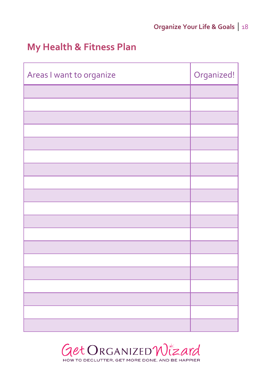## <span id="page-17-0"></span>**My Health & Fitness Plan**

| Areas I want to organize | Organized! |
|--------------------------|------------|
|                          |            |
|                          |            |
|                          |            |
|                          |            |
|                          |            |
|                          |            |
|                          |            |
|                          |            |
|                          |            |
|                          |            |
|                          |            |
|                          |            |
|                          |            |
|                          |            |
|                          |            |
|                          |            |
|                          |            |
|                          |            |
|                          |            |

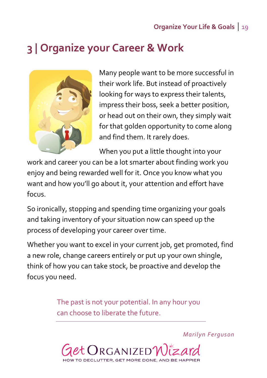# <span id="page-18-0"></span>**3 | Organize your Career & Work**



Many people want to be more successful in their work life. But instead of proactively looking for ways to express their talents, impress their boss, seek a better position, or head out on their own, they simply wait for that golden opportunity to come along and find them. It rarely does.

When you put a little thought into your

work and career you can be a lot smarter about finding work you enjoy and being rewarded well for it. Once you know what you want and how you'll go about it, your attention and effort have focus.

So ironically, stopping and spending time organizing your goals and taking inventory of your situation now can speed up the process of developing your career over time.

Whether you want to excel in your current job, get promoted, find a new role, change careers entirely or put up your own shingle, think of how you can take stock, be proactive and develop the focus you need.

> The past is not your potential. In any hour you can choose to liberate the future.

> > *Marilyn Ferguson*

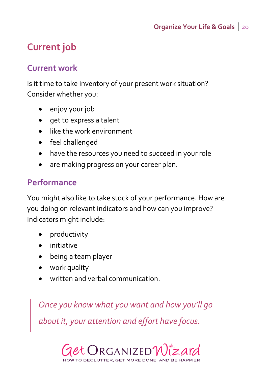# <span id="page-19-0"></span>**Current job**

#### **Current work**

Is it time to take inventory of your present work situation? Consider whether you:

- enjoy your job
- get to express a talent
- like the work environment
- feel challenged
- have the resources you need to succeed in your role
- are making progress on your career plan.

## **Performance**

You might also like to take stock of your performance. How are you doing on relevant indicators and how can you improve? Indicators might include:

- productivity
- initiative
- being a team player
- work quality
- written and verbal communication.

*Once you know what you want and how you'll go about it, your attention and effort have focus.* 

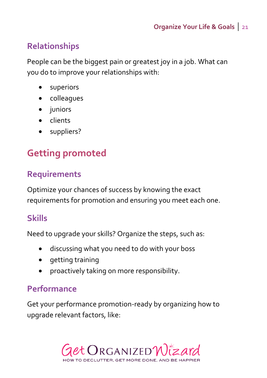## **Relationships**

People can be the biggest pain or greatest joy in a job. What can you do to improve your relationships with:

- **•** superiors
- colleagues
- juniors
- clients
- suppliers?

## <span id="page-20-0"></span>**Getting promoted**

## **Requirements**

Optimize your chances of success by knowing the exact requirements for promotion and ensuring you meet each one.

## **Skills**

Need to upgrade your skills? Organize the steps, such as:

- discussing what you need to do with your boss
- getting training
- proactively taking on more responsibility.

#### **Performance**

Get your performance promotion-ready by organizing how to upgrade relevant factors, like:

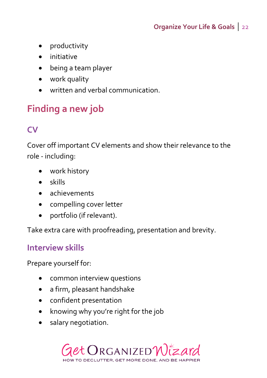- productivity
- initiative
- being a team player
- work quality
- written and verbal communication.

# <span id="page-21-0"></span>**Finding a new job**

## **CV**

Cover off important CV elements and show their relevance to the role - including:

- work history
- skills
- achievements
- compelling cover letter
- portfolio (if relevant).

Take extra care with proofreading, presentation and brevity.

#### **Interview skills**

Prepare yourself for:

- common interview questions
- a firm, pleasant handshake
- confident presentation
- knowing why you're right for the job
- salary negotiation.

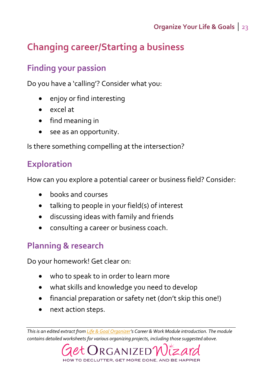# <span id="page-22-0"></span>**Changing career/Starting a business**

## **Finding your passion**

Do you have a 'calling'? Consider what you:

- enjoy or find interesting
- excel at
- $\bullet$  find meaning in
- see as an opportunity.

Is there something compelling at the intersection?

## **Exploration**

How can you explore a potential career or business field? Consider:

- books and courses
- talking to people in your field(s) of interest
- discussing ideas with family and friends
- consulting a career or business coach.

## **Planning & research**

Do your homework! Get clear on:

- who to speak to in order to learn more
- what skills and knowledge you need to develop
- financial preparation or safety net (don't skip this one!)
- next action steps.

*This is an edited extract fro[m Life & Goal Organizer](http://www.getorganizedwizard.com/products/life-and-goal-organizer/?utm_source=OYLG&utm_medium=PDF&utm_campaign=Download)'s Career & Work Module introduction. The module contains detailed worksheets for various organizing projects, including those suggested above.*

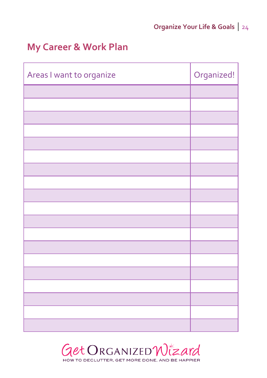## <span id="page-23-0"></span>**My Career & Work Plan**

| Areas I want to organize | Organized! |
|--------------------------|------------|
|                          |            |
|                          |            |
|                          |            |
|                          |            |
|                          |            |
|                          |            |
|                          |            |
|                          |            |
|                          |            |
|                          |            |
|                          |            |
|                          |            |
|                          |            |
|                          |            |
|                          |            |
|                          |            |
|                          |            |
|                          |            |
|                          |            |

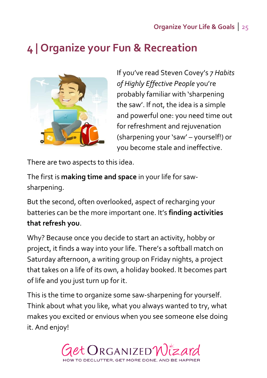# <span id="page-24-0"></span>**4 | Organize your Fun & Recreation**



If you've read Steven Covey's *7 Habits of Highly Effective People* you're probably familiar with 'sharpening the saw'. If not, the idea is a simple and powerful one: you need time out for refreshment and rejuvenation (sharpening your 'saw' – yourself!) or you become stale and ineffective.

There are two aspects to this idea.

The first is **making time and space** in your life for sawsharpening.

But the second, often overlooked, aspect of recharging your batteries can be the more important one. It's **finding activities that refresh you**.

Why? Because once you decide to start an activity, hobby or project, it finds a way into your life. There's a softball match on Saturday afternoon, a writing group on Friday nights, a project that takes on a life of its own, a holiday booked. It becomes part of life and you just turn up for it.

This is the time to organize some saw-sharpening for yourself. Think about what you like, what you always wanted to try, what makes you excited or envious when you see someone else doing it. And enjoy!

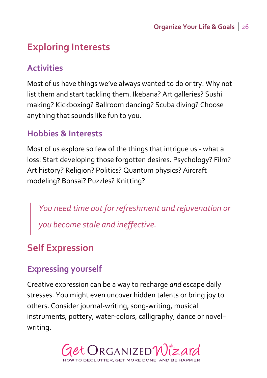## <span id="page-25-0"></span>**Exploring Interests**

#### **Activities**

Most of us have things we've always wanted to do or try. Why not list them and start tackling them. Ikebana? Art galleries? Sushi making? Kickboxing? Ballroom dancing? Scuba diving? Choose anything that sounds like fun to you.

#### **Hobbies & Interests**

Most of us explore so few of the things that intrigue us - what a loss! Start developing those forgotten desires. Psychology? Film? Art history? Religion? Politics? Quantum physics? Aircraft modeling? Bonsai? Puzzles? Knitting?

*You need time out for refreshment and rejuvenation or you become stale and ineffective.*

## <span id="page-25-1"></span>**Self Expression**

## **Expressing yourself**

Creative expression can be a way to recharge *and* escape daily stresses. You might even uncover hidden talents or bring joy to others. Consider journal-writing, song-writing, musical instruments, pottery, water-colors, calligraphy, dance or novel– writing.

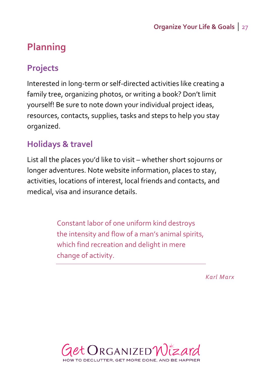# <span id="page-26-0"></span>**Planning**

## **Projects**

Interested in long-term or self-directed activities like creating a family tree, organizing photos, or writing a book? Don't limit yourself! Be sure to note down your individual project ideas, resources, contacts, supplies, tasks and steps to help you stay organized.

#### **Holidays & travel**

List all the places you'd like to visit – whether short sojourns or longer adventures. Note website information, places to stay, activities, locations of interest, local friends and contacts, and medical, visa and insurance details.

> Constant labor of one uniform kind destroys the intensity and flow of a man's animal spirits, which find recreation and delight in mere change of activity.

> > *Karl Marx*

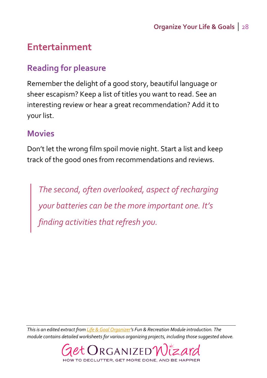## <span id="page-27-0"></span>**Entertainment**

## **Reading for pleasure**

Remember the delight of a good story, beautiful language or sheer escapism? Keep a list of titles you want to read. See an interesting review or hear a great recommendation? Add it to your list.

#### **Movies**

Don't let the wrong film spoil movie night. Start a list and keep track of the good ones from recommendations and reviews.

*The second, often overlooked, aspect of recharging your batteries can be the more important one. It's finding activities that refresh you.*

*This is an edited extract fro[m Life & Goal Organizer](http://www.getorganizedwizard.com/products/life-and-goal-organizer/?utm_source=OYLG&utm_medium=PDF&utm_campaign=Download)'s Fun & Recreation Module introduction. The module contains detailed worksheets for various organizing projects, including those suggested above.*

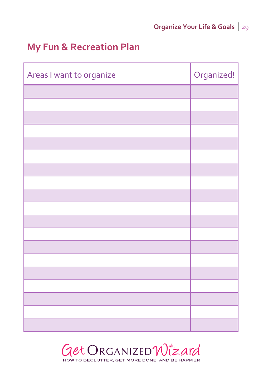## <span id="page-28-0"></span>**My Fun & Recreation Plan**

| Areas I want to organize | Organized! |
|--------------------------|------------|
|                          |            |
|                          |            |
|                          |            |
|                          |            |
|                          |            |
|                          |            |
|                          |            |
|                          |            |
|                          |            |
|                          |            |
|                          |            |
|                          |            |
|                          |            |
|                          |            |
|                          |            |
|                          |            |
|                          |            |
|                          |            |
|                          |            |

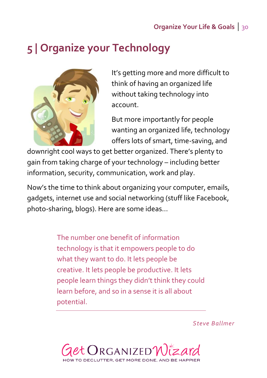# <span id="page-29-0"></span>**5 | Organize your Technology**



It's getting more and more difficult to think of having an organized life without taking technology into account.

But more importantly for people wanting an organized life, technology offers lots of smart, time-saving, and

downright cool ways to get better organized. There's plenty to gain from taking charge of your technology – including better information, security, communication, work and play.

Now's the time to think about organizing your computer, emails, gadgets, internet use and social networking (stuff like Facebook, photo-sharing, blogs). Here are some ideas…

> The number one benefit of information technology is that it empowers people to do what they want to do. It lets people be creative. It lets people be productive. It lets people learn things they didn't think they could learn before, and so in a sense it is all about potential.

> > *Steve Ballmer*

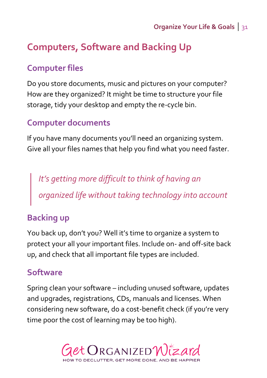# <span id="page-30-0"></span>**Computers, Software and Backing Up**

## **Computer files**

Do you store documents, music and pictures on your computer? How are they organized? It might be time to structure your file storage, tidy your desktop and empty the re-cycle bin.

## **Computer documents**

If you have many documents you'll need an organizing system. Give all your files names that help you find what you need faster.

*It's getting more difficult to think of having an organized life without taking technology into account*

## **Backing up**

You back up, don't you? Well it's time to organize a system to protect your all your important files. Include on- and off-site back up, and check that all important file types are included.

#### **Software**

Spring clean your software – including unused software, updates and upgrades, registrations, CDs, manuals and licenses. When considering new software, do a cost-benefit check (if you're very time poor the cost of learning may be too high).

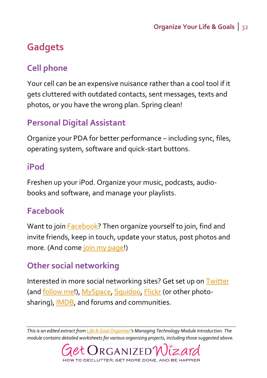# <span id="page-31-0"></span>**Gadgets**

## **Cell phone**

Your cell can be an expensive nuisance rather than a cool tool if it gets cluttered with outdated contacts, sent messages, texts and photos, or you have the wrong plan. Spring clean!

## **Personal Digital Assistant**

Organize your PDA for better performance – including sync, files, operating system, software and quick-start buttons.

#### **iPod**

Freshen up your iPod. Organize your music, podcasts, audiobooks and software, and manage your playlists.

#### **Facebook**

Want to join **Facebook?** Then organize yourself to join, find and invite friends, keep in touch, update your status, post photos and more. (And come [join my page!](http://www.facebook.com/GetOrganizedWizard))

#### **Other social networking**

Interested in more social networking sites? Get set up o[n Twitter](http://www.twitter.com/) (and [follow me!](http://twitter.com/MicheleConnolly))[, MySpace,](http://www.myspace.com/) [Squidoo,](http://www.squidoo.com/) [Flickr](http://www.flickr.com/) (or other photosharing), *IMDB*, and forums and communities.

*This is an edited extract fro[m Life & Goal Organizer](http://www.getorganizedwizard.com/products/life-and-goal-organizer/?utm_source=OYLG&utm_medium=PDF&utm_campaign=Download)'s Managing Technology Module introduction. The module contains detailed worksheets for various organizing projects, including those suggested above.*

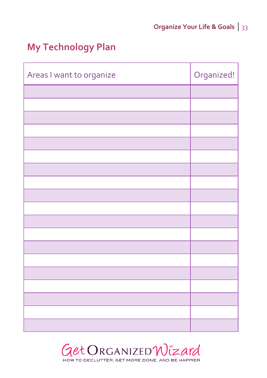## <span id="page-32-0"></span>**My Technology Plan**

| Areas I want to organize | Organized! |
|--------------------------|------------|
|                          |            |
|                          |            |
|                          |            |
|                          |            |
|                          |            |
|                          |            |
|                          |            |
|                          |            |
|                          |            |
|                          |            |
|                          |            |
|                          |            |
|                          |            |
|                          |            |
|                          |            |
|                          |            |
|                          |            |
|                          |            |
|                          |            |

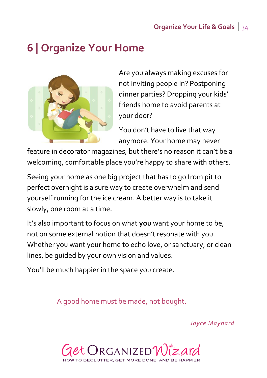#### **Organize Your Life & Goals** 34

# <span id="page-33-0"></span>**6 | Organize Your Home**



Are you always making excuses for not inviting people in? Postponing dinner parties? Dropping your kids' friends home to avoid parents at your door?

You don't have to live that way anymore. Your home may never

feature in decorator magazines, but there's no reason it can't be a welcoming, comfortable place you're happy to share with others.

Seeing your home as one big project that has to go from pit to perfect overnight is a sure way to create overwhelm and send yourself running for the ice cream. A better way is to take it slowly, one room at a time.

It's also important to focus on what **you** want your home to be, not on some external notion that doesn't resonate with you. Whether you want your home to echo love, or sanctuary, or clean lines, be guided by your own vision and values.

You'll be much happier in the space you create.

A good home must be made, not bought.

*Joyce Maynard*

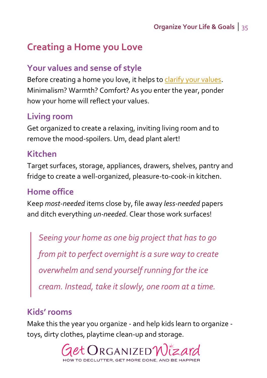## <span id="page-34-0"></span>**Creating a Home you Love**

#### **Your values and sense of style**

Before creating a home you love, it helps to [clarify your values.](http://www.getorganizedwizard.com/blog/2008/11/home-organizing-start-with-your-home-values/) Minimalism? Warmth? Comfort? As you enter the year, ponder how your home will reflect your values.

#### **Living room**

Get organized to create a relaxing, inviting living room and to remove the mood-spoilers. Um, dead plant alert!

#### **Kitchen**

Target surfaces, storage, appliances, drawers, shelves, pantry and fridge to create a well-organized, pleasure-to-cook-in kitchen.

#### **Home office**

Keep *most-needed* items close by, file away *less-needed* papers and ditch everything *un-needed*. Clear those work surfaces!

*Seeing your home as one big project that has to go from pit to perfect overnight is a sure way to create overwhelm and send yourself running for the ice cream. Instead, take it slowly, one room at a time.*

#### **Kids' rooms**

Make this the year you organize - and help kids learn to organize toys, dirty clothes, playtime clean-up and storage.

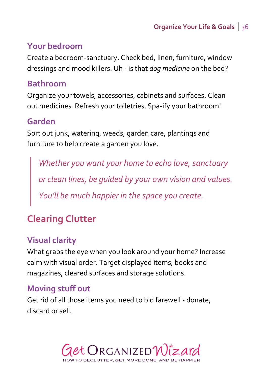#### **Your bedroom**

Create a bedroom-sanctuary. Check bed, linen, furniture, window dressings and mood killers. Uh - is that *dog medicine* on the bed?

#### **Bathroom**

Organize your towels, accessories, cabinets and surfaces. Clean out medicines. Refresh your toiletries. Spa-ify your bathroom!

#### **Garden**

Sort out junk, watering, weeds, garden care, plantings and furniture to help create a garden you love.

*Whether you want your home to echo love, sanctuary or clean lines, be guided by your own vision and values. You'll be much happier in the space you create.*

# <span id="page-35-0"></span>**Clearing Clutter**

## **Visual clarity**

What grabs the eye when you look around your home? Increase calm with visual order. Target displayed items, books and magazines, cleared surfaces and storage solutions.

#### **Moving stuff out**

Get rid of all those items you need to bid farewell - donate, discard or sell.

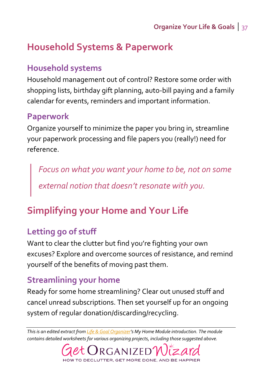## **Household Systems & Paperwork**

### **Household systems**

Household management out of control? Restore some order with shopping lists, birthday gift planning, auto-bill paying and a family calendar for events, reminders and important information.

### **Paperwork**

Organize yourself to minimize the paper you bring in, streamline your paperwork processing and file papers you (really!) need for reference.

*Focus on what you want your home to be, not on some external notion that doesn't resonate with you.*

# **Simplifying your Home and Your Life**

## **Letting go of stuff**

Want to clear the clutter but find you're fighting your own excuses? Explore and overcome sources of resistance, and remind yourself of the benefits of moving past them.

### **Streamlining your home**

Ready for some home streamlining? Clear out unused stuff and cancel unread subscriptions. Then set yourself up for an ongoing system of regular donation/discarding/recycling.

*This is an edited extract fro[m Life & Goal Organizer](http://www.getorganizedwizard.com/products/life-and-goal-organizer/?utm_source=OYLG&utm_medium=PDF&utm_campaign=Download)'s My Home Module introduction. The module contains detailed worksheets for various organizing projects, including those suggested above.*

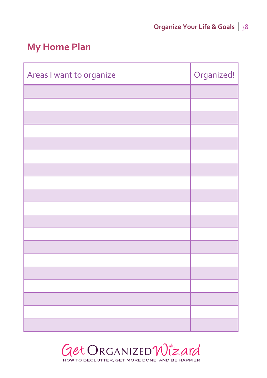## **My Home Plan**

| Areas I want to organize | Organized! |
|--------------------------|------------|
|                          |            |
|                          |            |
|                          |            |
|                          |            |
|                          |            |
|                          |            |
|                          |            |
|                          |            |
|                          |            |
|                          |            |
|                          |            |
|                          |            |
|                          |            |
|                          |            |
|                          |            |
|                          |            |
|                          |            |
|                          |            |
|                          |            |

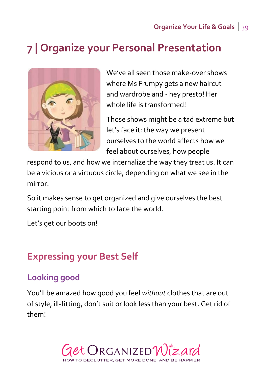# **7 | Organize your Personal Presentation**



We've all seen those make-over shows where Ms Frumpy gets a new haircut and wardrobe and - hey presto! Her whole life is transformed!

Those shows might be a tad extreme but let's face it: the way we present ourselves to the world affects how we feel about ourselves, how people

respond to us, and how we internalize the way they treat us. It can be a vicious or a virtuous circle, depending on what we see in the mirror.

So it makes sense to get organized and give ourselves the best starting point from which to face the world.

Let's get our boots on!

## **Expressing your Best Self**

### **Looking good**

You'll be amazed how good you feel *without* clothes that are out of style, ill-fitting, don't suit or look less than your best. Get rid of them!

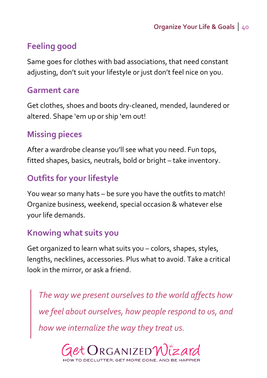### **Feeling good**

Same goes for clothes with bad associations, that need constant adjusting, don't suit your lifestyle or just don't feel nice on you.

#### **Garment care**

Get clothes, shoes and boots dry-cleaned, mended, laundered or altered. Shape 'em up or ship 'em out!

#### **Missing pieces**

After a wardrobe cleanse you'll see what you need. Fun tops, fitted shapes, basics, neutrals, bold or bright – take inventory.

### **Outfits for your lifestyle**

You wear so many hats – be sure you have the outfits to match! Organize business, weekend, special occasion & whatever else your life demands.

#### **Knowing what suits you**

Get organized to learn what suits you – colors, shapes, styles, lengths, necklines, accessories. Plus what to avoid. Take a critical look in the mirror, or ask a friend.

*The way we present ourselves to the world affects how we feel about ourselves, how people respond to us, and how we internalize the way they treat us.*

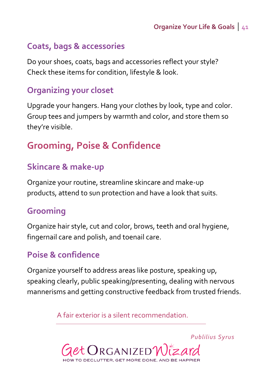### **Coats, bags & accessories**

Do your shoes, coats, bags and accessories reflect your style? Check these items for condition, lifestyle & look.

#### **Organizing your closet**

Upgrade your hangers. Hang your clothes by look, type and color. Group tees and jumpers by warmth and color, and store them so they're visible.

## **Grooming, Poise & Confidence**

#### **Skincare & make-up**

Organize your routine, streamline skincare and make-up products, attend to sun protection and have a look that suits.

### **Grooming**

Organize hair style, cut and color, brows, teeth and oral hygiene, fingernail care and polish, and toenail care.

#### **Poise & confidence**

Organize yourself to address areas like posture, speaking up, speaking clearly, public speaking/presenting, dealing with nervous mannerisms and getting constructive feedback from trusted friends.

A fair exterior is a silent recommendation.



*Publilius Syrus*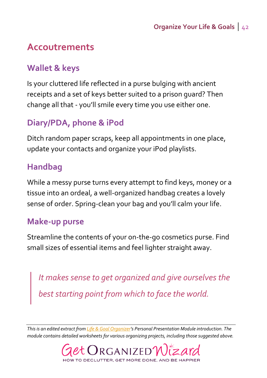## **Accoutrements**

#### **Wallet & keys**

Is your cluttered life reflected in a purse bulging with ancient receipts and a set of keys better suited to a prison guard? Then change all that - you'll smile every time you use either one.

### **Diary/PDA, phone & iPod**

Ditch random paper scraps, keep all appointments in one place, update your contacts and organize your iPod playlists.

### **Handbag**

While a messy purse turns every attempt to find keys, money or a tissue into an ordeal, a well-organized handbag creates a lovely sense of order. Spring-clean your bag and you'll calm your life.

#### **Make-up purse**

Streamline the contents of your on-the-go cosmetics purse. Find small sizes of essential items and feel lighter straight away.

*It makes sense to get organized and give ourselves the best starting point from which to face the world.*

*This is an edited extract fro[m Life & Goal Organizer](http://www.getorganizedwizard.com/products/life-and-goal-organizer/?utm_source=OYLG&utm_medium=PDF&utm_campaign=Download)'s Personal Presentation Module introduction. The module contains detailed worksheets for various organizing projects, including those suggested above.*

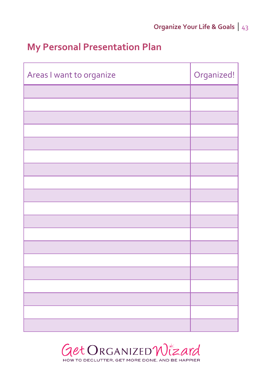## **My Personal Presentation Plan**

| Areas I want to organize | Organized! |
|--------------------------|------------|
|                          |            |
|                          |            |
|                          |            |
|                          |            |
|                          |            |
|                          |            |
|                          |            |
|                          |            |
|                          |            |
|                          |            |
|                          |            |
|                          |            |
|                          |            |
|                          |            |
|                          |            |
|                          |            |
|                          |            |
|                          |            |
|                          |            |

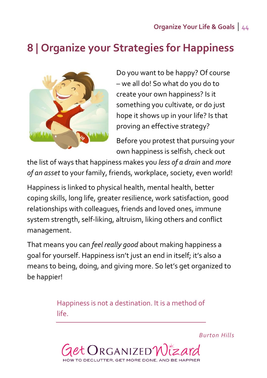# **8 | Organize your Strategies for Happiness**



Do you want to be happy? Of course – we all do! So what do you do to create your own happiness? Is it something you cultivate, or do just hope it shows up in your life? Is that proving an effective strategy?

Before you protest that pursuing your own happiness is selfish, check out

the list of ways that happiness makes you *less of a drain* and *more of an asset* to your family, friends, workplace, society, even world!

Happiness is linked to physical health, mental health, better coping skills, long life, greater resilience, work satisfaction, good relationships with colleagues, friends and loved ones, immune system strength, self-liking, altruism, liking others and conflict management.

That means you can *feel really good* about making happiness a goal for yourself. Happiness isn't just an end in itself; it's also a means to being, doing, and giving more. So let's get organized to be happier!

> Happiness is not a destination. It is a method of life.



*Burton Hills*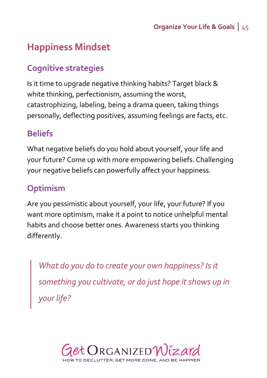## **Happiness Mindset**

### **Cognitive strategies**

Is it time to upgrade negative thinking habits? Target black & white thinking, perfectionism, assuming the worst, catastrophizing, labeling, being a drama queen, taking things personally, deflecting positives, assuming feelings are facts, etc.

### **Beliefs**

What negative beliefs do you hold about yourself, your life and your future? Come up with more empowering beliefs. Challenging your negative beliefs can powerfully affect your happiness.

### **Optimism**

Are you pessimistic about yourself, your life, your future? If you want more optimism, make it a point to notice unhelpful mental habits and choose better ones. Awareness starts you thinking differently.

*What do you do to create your own happiness? Is it something you cultivate, or do just hope it shows up in your life?*

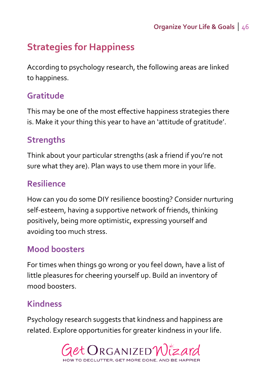## **Strategies for Happiness**

According to psychology research, the following areas are linked to happiness.

#### **Gratitude**

This may be one of the most effective happiness strategies there is. Make it your thing this year to have an 'attitude of gratitude'.

#### **Strengths**

Think about your particular strengths (ask a friend if you're not sure what they are). Plan ways to use them more in your life.

#### **Resilience**

How can you do some DIY resilience boosting? Consider nurturing self-esteem, having a supportive network of friends, thinking positively, being more optimistic, expressing yourself and avoiding too much stress.

### **Mood boosters**

For times when things go wrong or you feel down, have a list of little pleasures for cheering yourself up. Build an inventory of mood boosters.

### **Kindness**

Psychology research suggests that kindness and happiness are related. Explore opportunities for greater kindness in your life.

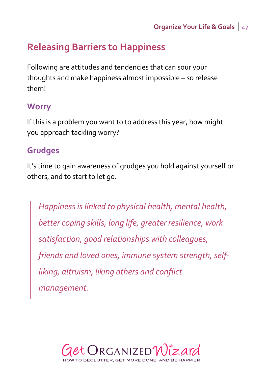## **Releasing Barriers to Happiness**

Following are attitudes and tendencies that can sour your thoughts and make happiness almost impossible – so release them!

#### **Worry**

If this is a problem you want to to address this year, how might you approach tackling worry?

### **Grudges**

It's time to gain awareness of grudges you hold against yourself or others, and to start to let go.

*Happiness is linked to physical health, mental health, better coping skills, long life, greater resilience, work satisfaction, good relationships with colleagues, friends and loved ones, immune system strength, selfliking, altruism, liking others and conflict management.*

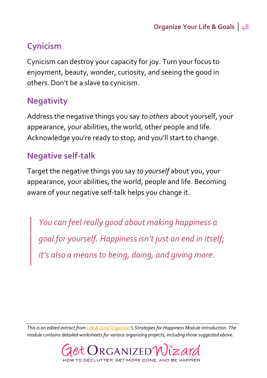## **Cynicism**

Cynicism can destroy your capacity for joy. Turn your focus to enjoyment, beauty, wonder, curiosity, and seeing the good in others. Don't be a slave to cynicism.

### **Negativity**

Address the negative things you say *to others* about yourself, your appearance, your abilities, the world, other people and life. Acknowledge you're ready to stop, and you'll start to change.

### **Negative self-talk**

Target the negative things you say *to yourself* about you, your appearance, your abilities, the world, people and life. Becoming aware of your negative self-talk helps you change it.

*You can feel really good about making happiness a goal for yourself. Happiness isn't just an end in itself; it's also a means to being, doing, and giving more.*

*This is an edited extract fro[m Life & Goal Organizer](http://www.getorganizedwizard.com/products/life-and-goal-organizer/?utm_source=OYLG&utm_medium=PDF&utm_campaign=Download)'s Strategies for Happiness Module introduction. The module contains detailed worksheets for various organizing projects, including those suggested above.*

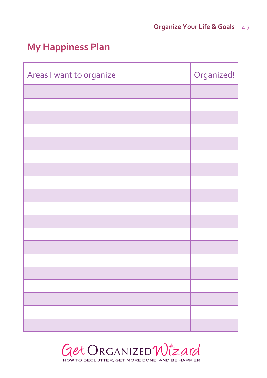## **My Happiness Plan**

| Areas I want to organize | Organized! |
|--------------------------|------------|
|                          |            |
|                          |            |
|                          |            |
|                          |            |
|                          |            |
|                          |            |
|                          |            |
|                          |            |
|                          |            |
|                          |            |
|                          |            |
|                          |            |
|                          |            |
|                          |            |
|                          |            |
|                          |            |
|                          |            |
|                          |            |
|                          |            |

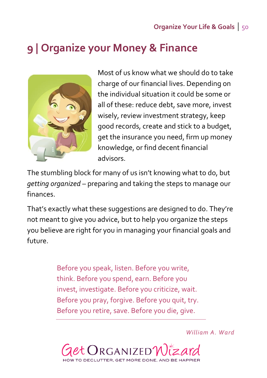## **9 | Organize your Money & Finance**



Most of us know what we should do to take charge of our financial lives. Depending on the individual situation it could be some or all of these: reduce debt, save more, invest wisely, review investment strategy, keep good records, create and stick to a budget, get the insurance you need, firm up money knowledge, or find decent financial advisors.

The stumbling block for many of us isn't knowing what to do, but *getting organized* – preparing and taking the steps to manage our finances.

That's exactly what these suggestions are designed to do. They're not meant to give you advice, but to help you organize the steps you believe are right for you in managing your financial goals and future.

> Before you speak, listen. Before you write, think. Before you spend, earn. Before you invest, investigate. Before you criticize, wait. Before you pray, forgive. Before you quit, try. Before you retire, save. Before you die, give.

> > *William A. Ward*

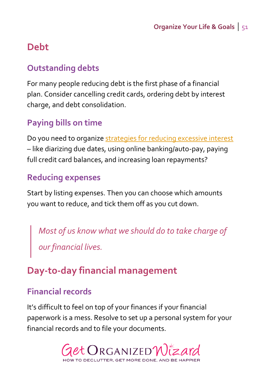## **Debt**

### **Outstanding debts**

For many people reducing debt is the first phase of a financial plan. Consider cancelling credit cards, ordering debt by interest charge, and debt consolidation.

## **Paying bills on time**

Do you need to organiz[e strategies for reducing excessive interest](http://www.getorganizedwizard.com/blog/2008/11/organizing-your-finances-get-organized-to-pay-bills-on-time/) – like diarizing due dates, using online banking/auto-pay, paying full credit card balances, and increasing loan repayments?

### **Reducing expenses**

Start by listing expenses. Then you can choose which amounts you want to reduce, and tick them off as you cut down.

*Most of us know what we should do to take charge of our financial lives.*

## **Day-to-day financial management**

### **Financial records**

It's difficult to feel on top of your finances if your financial paperwork is a mess. Resolve to set up a personal system for your financial records and to file your documents.

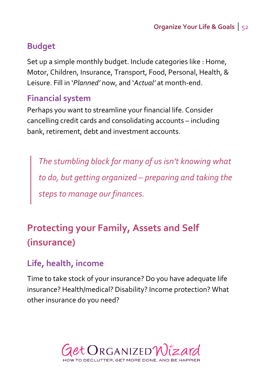### **Budget**

Set up a simple monthly budget. Include categories like : Home, Motor, Children, Insurance, Transport, Food, Personal, Health, & Leisure. Fill in '*Planned'* now, and '*Actual'* at month-end.

#### **Financial system**

Perhaps you want to streamline your financial life. Consider cancelling credit cards and consolidating accounts – including bank, retirement, debt and investment accounts.

*The stumbling block for many of us isn't knowing what to do, but getting organized – preparing and taking the steps to manage our finances.*

# **Protecting your Family, Assets and Self (insurance)**

### **Life, health, income**

Time to take stock of your insurance? Do you have adequate life insurance? Health/medical? Disability? Income protection? What other insurance do you need?

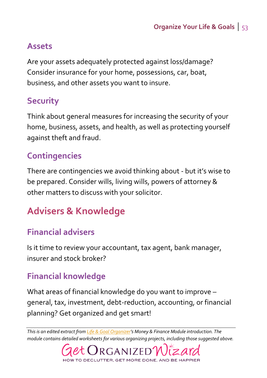### **Assets**

Are your assets adequately protected against loss/damage? Consider insurance for your home, possessions, car, boat, business, and other assets you want to insure.

## **Security**

Think about general measures for increasing the security of your home, business, assets, and health, as well as protecting yourself against theft and fraud.

## **Contingencies**

There are contingencies we avoid thinking about - but it's wise to be prepared. Consider wills, living wills, powers of attorney & other matters to discuss with your solicitor.

## **Advisers & Knowledge**

## **Financial advisers**

Is it time to review your accountant, tax agent, bank manager, insurer and stock broker?

### **Financial knowledge**

What areas of financial knowledge do you want to improve – general, tax, investment, debt-reduction, accounting, or financial planning? Get organized and get smart!

*This is an edited extract fro[m Life & Goal Organizer](http://www.getorganizedwizard.com/products/life-and-goal-organizer/?utm_source=OYLG&utm_medium=PDF&utm_campaign=Download)'s Money & Finance Module introduction. The module contains detailed worksheets for various organizing projects, including those suggested above.*

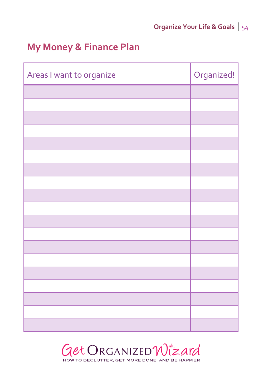## **My Money & Finance Plan**

| Areas I want to organize | Organized! |
|--------------------------|------------|
|                          |            |
|                          |            |
|                          |            |
|                          |            |
|                          |            |
|                          |            |
|                          |            |
|                          |            |
|                          |            |
|                          |            |
|                          |            |
|                          |            |
|                          |            |
|                          |            |
|                          |            |
|                          |            |
|                          |            |
|                          |            |
|                          |            |

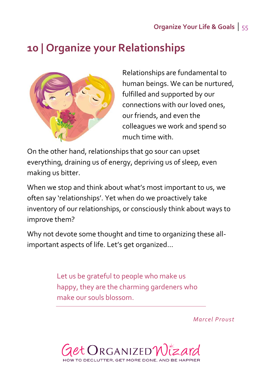# **10 | Organize your Relationships**



Relationships are fundamental to human beings. We can be nurtured, fulfilled and supported by our connections with our loved ones, our friends, and even the colleagues we work and spend so much time with.

On the other hand, relationships that go sour can upset everything, draining us of energy, depriving us of sleep, even making us bitter.

When we stop and think about what's most important to us, we often say 'relationships'. Yet when do we proactively take inventory of our relationships, or consciously think about ways to improve them?

Why not devote some thought and time to organizing these allimportant aspects of life. Let's get organized…

> Let us be grateful to people who make us happy, they are the charming gardeners who make our souls blossom.

> > *Marcel Proust*

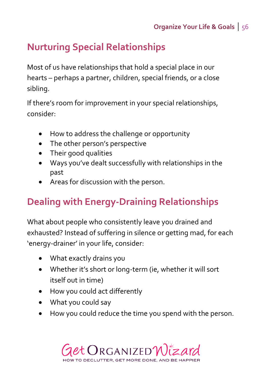## **Nurturing Special Relationships**

Most of us have relationships that hold a special place in our hearts – perhaps a partner, children, special friends, or a close sibling.

If there's room for improvement in your special relationships, consider:

- How to address the challenge or opportunity
- The other person's perspective
- Their good qualities
- Ways you've dealt successfully with relationships in the past
- Areas for discussion with the person.

## **Dealing with Energy-Draining Relationships**

What about people who consistently leave you drained and exhausted? Instead of suffering in silence or getting mad, for each 'energy-drainer' in your life, consider:

- What exactly drains you
- Whether it's short or long-term (ie, whether it will sort itself out in time)
- How you could act differently
- What you could say
- How you could reduce the time you spend with the person.

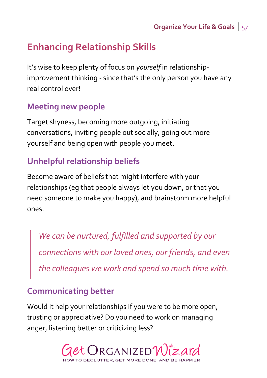## **Enhancing Relationship Skills**

It's wise to keep plenty of focus on *yourself* in relationshipimprovement thinking - since that's the only person you have any real control over!

#### **Meeting new people**

Target shyness, becoming more outgoing, initiating conversations, inviting people out socially, going out more yourself and being open with people you meet.

### **Unhelpful relationship beliefs**

Become aware of beliefs that might interfere with your relationships (eg that people always let you down, or that you need someone to make you happy), and brainstorm more helpful ones.

*We can be nurtured, fulfilled and supported by our connections with our loved ones, our friends, and even the colleagues we work and spend so much time with.*

### **Communicating better**

Would it help your relationships if you were to be more open, trusting or appreciative? Do you need to work on managing anger, listening better or criticizing less?

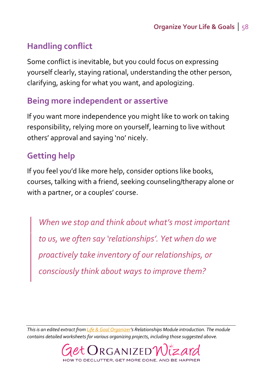### **Handling conflict**

Some conflict is inevitable, but you could focus on expressing yourself clearly, staying rational, understanding the other person, clarifying, asking for what you want, and apologizing.

#### **Being more independent or assertive**

If you want more independence you might like to work on taking responsibility, relying more on yourself, learning to live without others' approval and saying 'no' nicely.

## **Getting help**

If you feel you'd like more help, consider options like books, courses, talking with a friend, seeking counseling/therapy alone or with a partner, or a couples' course.

*When we stop and think about what's most important to us, we often say 'relationships'. Yet when do we proactively take inventory of our relationships, or consciously think about ways to improve them?*

*This is an edited extract fro[m Life & Goal Organizer](http://www.getorganizedwizard.com/products/life-and-goal-organizer/?utm_source=OYLG&utm_medium=PDF&utm_campaign=Download)'s Relationships Module introduction. The module contains detailed worksheets for various organizing projects, including those suggested above.*

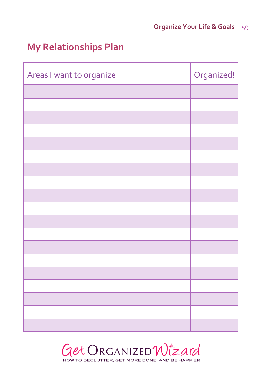## **My Relationships Plan**

| Areas I want to organize | Organized! |
|--------------------------|------------|
|                          |            |
|                          |            |
|                          |            |
|                          |            |
|                          |            |
|                          |            |
|                          |            |
|                          |            |
|                          |            |
|                          |            |
|                          |            |
|                          |            |
|                          |            |
|                          |            |
|                          |            |
|                          |            |
|                          |            |
|                          |            |
|                          |            |

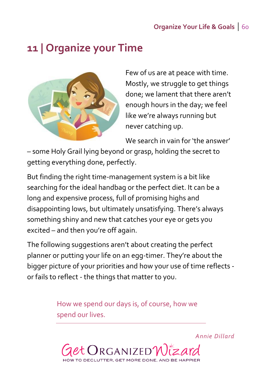#### **Organize Your Life & Goals** 60

## **11 | Organize your Time**



Few of us are at peace with time. Mostly, we struggle to get things done; we lament that there aren't enough hours in the day; we feel like we're always running but never catching up.

We search in vain for 'the answer'

– some Holy Grail lying beyond or grasp, holding the secret to getting everything done, perfectly.

But finding the right time-management system is a bit like searching for the ideal handbag or the perfect diet. It can be a long and expensive process, full of promising highs and disappointing lows, but ultimately unsatisfying. There's always something shiny and new that catches your eye or gets you excited – and then you're off again.

The following suggestions aren't about creating the perfect planner or putting your life on an egg-timer. They're about the bigger picture of your priorities and how your use of time reflects or fails to reflect - the things that matter to you.

> How we spend our days is, of course, how we spend our lives.



*Annie Dillard*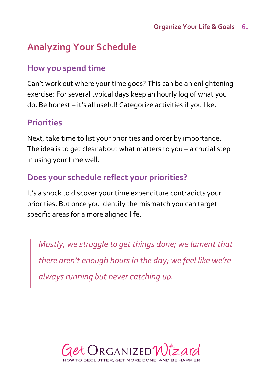## **Analyzing Your Schedule**

#### **How you spend time**

Can't work out where your time goes? This can be an enlightening exercise: For several typical days keep an hourly log of what you do. Be honest – it's all useful! Categorize activities if you like.

#### **Priorities**

Next, take time to list your priorities and order by importance. The idea is to get clear about what matters to you – a crucial step in using your time well.

### **Does your schedule reflect your priorities?**

It's a shock to discover your time expenditure contradicts your priorities. But once you identify the mismatch you can target specific areas for a more aligned life.

*Mostly, we struggle to get things done; we lament that there aren't enough hours in the day; we feel like we're always running but never catching up.*

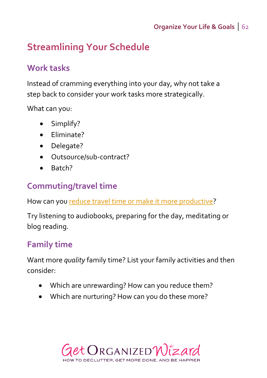## **Streamlining Your Schedule**

#### **Work tasks**

Instead of cramming everything into your day, why not take a step back to consider your work tasks more strategically.

What can you:

- Simplify?
- Fliminate?
- Delegate?
- Outsource/sub-contract?
- $\bullet$  Batch?

### **Commuting/travel time**

How can yo[u reduce travel time or make it more productive?](http://www.getorganizedwizard.com/blog/2008/11/time-management-organize-more-efficient-travel-time/)

Try listening to audiobooks, preparing for the day, meditating or blog reading.

## **Family time**

Want more *quality* family time? List your family activities and then consider:

- Which are unrewarding? How can you reduce them?
- Which are nurturing? How can you do these more?

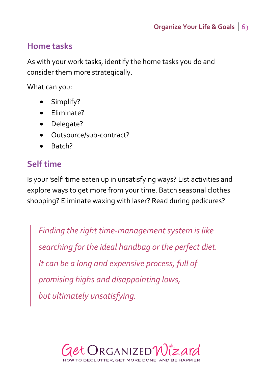### **Home tasks**

As with your work tasks, identify the home tasks you do and consider them more strategically.

What can you:

- Simplify?
- Eliminate?
- Delegate?
- Outsource/sub-contract?
- $\bullet$  Ratch?

## **Self time**

Is your 'self' time eaten up in unsatisfying ways? List activities and explore ways to get more from your time. Batch seasonal clothes shopping? Eliminate waxing with laser? Read during pedicures?

*Finding the right time-management system is like searching for the ideal handbag or the perfect diet. It can be a long and expensive process, full of promising highs and disappointing lows, but ultimately unsatisfying.*

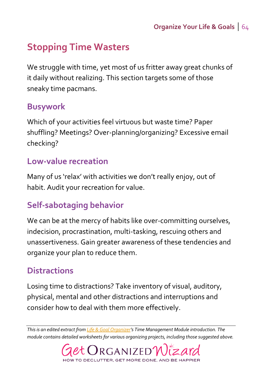## **Stopping Time Wasters**

We struggle with time, yet most of us fritter away great chunks of it daily without realizing. This section targets some of those sneaky time pacmans.

#### **Busywork**

Which of your activities feel virtuous but waste time? Paper shuffling? Meetings? Over-planning/organizing? Excessive email checking?

#### **Low-value recreation**

Many of us 'relax' with activities we don't really enjoy, out of habit. Audit your recreation for value.

### **Self-sabotaging behavior**

We can be at the mercy of habits like over-committing ourselves, indecision, procrastination, multi-tasking, rescuing others and unassertiveness. Gain greater awareness of these tendencies and organize your plan to reduce them.

#### **Distractions**

Losing time to distractions? Take inventory of visual, auditory, physical, mental and other distractions and interruptions and consider how to deal with them more effectively.

*This is an edited extract fro[m Life & Goal Organizer](http://www.getorganizedwizard.com/products/life-and-goal-organizer/?utm_source=OYLG&utm_medium=PDF&utm_campaign=Download)'s Time Management Module introduction. The module contains detailed worksheets for various organizing projects, including those suggested above.*

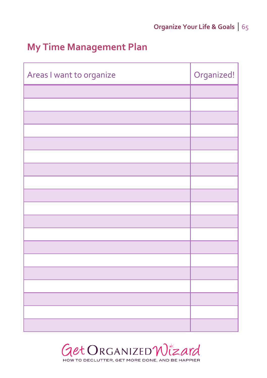## **My Time Management Plan**

| Areas I want to organize | Organized! |
|--------------------------|------------|
|                          |            |
|                          |            |
|                          |            |
|                          |            |
|                          |            |
|                          |            |
|                          |            |
|                          |            |
|                          |            |
|                          |            |
|                          |            |
|                          |            |
|                          |            |
|                          |            |
|                          |            |
|                          |            |
|                          |            |
|                          |            |
|                          |            |

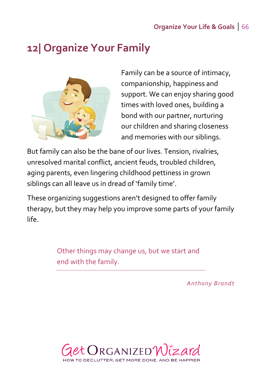#### **Organize Your Life & Goals** 66

## **12| Organize Your Family**



Family can be a source of intimacy, companionship, happiness and support. We can enjoy sharing good times with loved ones, building a bond with our partner, nurturing our children and sharing closeness and memories with our siblings.

But family can also be the bane of our lives. Tension, rivalries, unresolved marital conflict, ancient feuds, troubled children, aging parents, even lingering childhood pettiness in grown siblings can all leave us in dread of 'family time'.

These organizing suggestions aren't designed to offer family therapy, but they may help you improve some parts of your family life.

> Other things may change us, but we start and end with the family.

> > *Anthony Brandt*

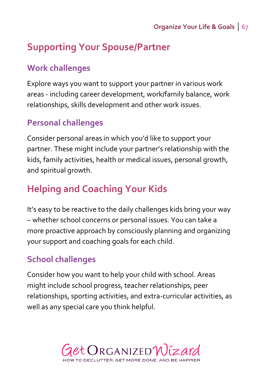## **Supporting Your Spouse/Partner**

### **Work challenges**

Explore ways you want to support your partner in various work areas - including career development, work/family balance, work relationships, skills development and other work issues.

### **Personal challenges**

Consider personal areas in which you'd like to support your partner. These might include your partner's relationship with the kids, family activities, health or medical issues, personal growth, and spiritual growth.

## **Helping and Coaching Your Kids**

It's easy to be reactive to the daily challenges kids bring your way – whether school concerns or personal issues. You can take a more proactive approach by consciously planning and organizing your support and coaching goals for each child.

### **School challenges**

Consider how you want to help your child with school. Areas might include school progress, teacher relationships, peer relationships, sporting activities, and extra-curricular activities, as well as any special care you think helpful.

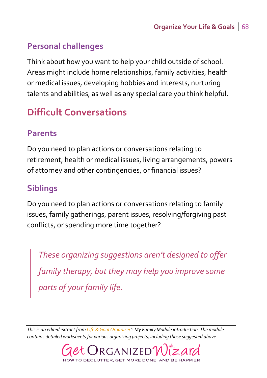### **Personal challenges**

Think about how you want to help your child outside of school. Areas might include home relationships, family activities, health or medical issues, developing hobbies and interests, nurturing talents and abilities, as well as any special care you think helpful.

## **Difficult Conversations**

#### **Parents**

Do you need to plan actions or conversations relating to retirement, health or medical issues, living arrangements, powers of attorney and other contingencies, or financial issues?

### **Siblings**

Do you need to plan actions or conversations relating to family issues, family gatherings, parent issues, resolving/forgiving past conflicts, or spending more time together?

*These organizing suggestions aren't designed to offer family therapy, but they may help you improve some parts of your family life.*

*This is an edited extract fro[m Life & Goal Organizer](http://www.getorganizedwizard.com/products/life-and-goal-organizer/?utm_source=OYLG&utm_medium=PDF&utm_campaign=Download)'s My Family Module introduction. The module contains detailed worksheets for various organizing projects, including those suggested above.*

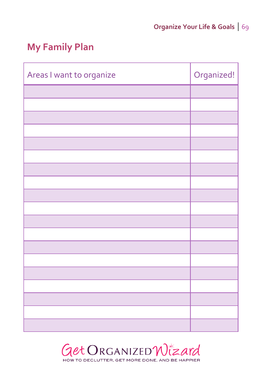## **My Family Plan**

| Areas I want to organize | Organized! |
|--------------------------|------------|
|                          |            |
|                          |            |
|                          |            |
|                          |            |
|                          |            |
|                          |            |
|                          |            |
|                          |            |
|                          |            |
|                          |            |
|                          |            |
|                          |            |
|                          |            |
|                          |            |
|                          |            |
|                          |            |
|                          |            |
|                          |            |
|                          |            |

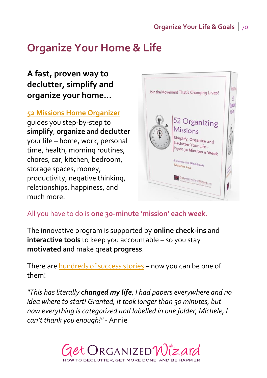# **Organize Your Home & Life**

### **A fast, proven way to declutter, simplify and organize your home…**

#### **[52 Missions Home Organizer](http://www.getorganizedwizard.com/products/52-missions-home-organizer/?utm_source=OYLG&utm_medium=PDF&utm_campaign=Download)**

guides you step-by-step to **simplify**, **organize** and **declutter** your life – home, work, personal time, health, morning routines, chores, car, kitchen, bedroom, storage spaces, money, productivity, negative thinking, relationships, happiness, and much more.



#### All you have to do is **one 30-minute 'mission' each week**.

The innovative program is supported by **online check-ins** and **interactive tools** to keep you accountable – so you stay **motivated** and make great **progress**.

There are [hundreds of success stories](http://www.getorganizedwizard.com/52missions/success-stories/?utm_source=OYLG&utm_medium=PDF&utm_campaign=Download) – now you can be one of them!

*"This has literally changed my life; I had papers everywhere and no idea where to start! Granted, it took longer than 30 minutes, but now everything is categorized and labelled in one folder, Michele, I can't thank you enough!"* - Annie

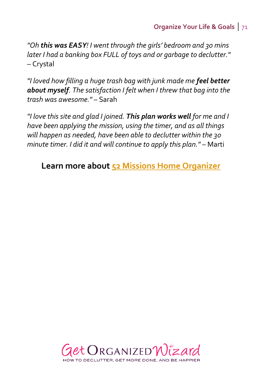*"Oh this was EASY! I went through the girls' bedroom and 30 mins later I had a banking box FULL of toys and or garbage to declutter."* – Crystal

*"I loved how filling a huge trash bag with junk made me feel better about myself. The satisfaction I felt when I threw that bag into the trash was awesome."* – Sarah

*"I love this site and glad I joined. This plan works well for me and I have been applying the mission, using the timer, and as all things will happen as needed, have been able to declutter within the 30 minute timer. I did it and will continue to apply this plan."* – Marti

**Learn more about [52 Missions Home Organizer](http://www.getorganizedwizard.com/products/52-missions-home-organizer/?utm_source=OYLG&utm_medium=PDF&utm_campaign=Download)**

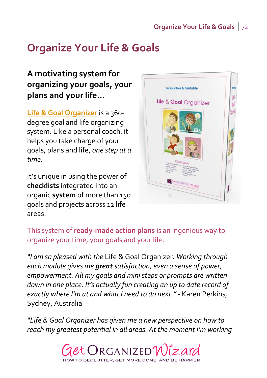# **Organize Your Life & Goals**

### **A motivating system for organizing your goals, your plans and your life…**

[Life & Goal Organizer](http://www.getorganizedwizard.com/products/life-and-goal-organizer/?utm_source=OYLG&utm_medium=PDF&utm_campaign=Download) is a 360degree goal and life organizing system. Like a personal coach, it helps you take charge of your goals, plans and life, *one step at a time*.

It's unique in using the power of **checklists** integrated into an organic **system** of more than 150 goals and projects across 12 life areas.



This system of **ready-made action plans** is an ingenious way to organize your time, your goals and your life.

*"I am so pleased with the* [Life & Goal Organizer](http://www.getorganizedwizard.com/products/life-and-goal-organizer/)*. Working through each module gives me great satisfaction, even a sense of power, empowerment. All my goals and mini steps or prompts are written down in one place. It's actually fun creating an up to date record of exactly where I'm at and what I need to do next."* - Karen Perkins, Sydney, Australia

*"Life & Goal Organizer has given me a new perspective on how to reach my greatest potential in all areas. At the moment I'm working* 

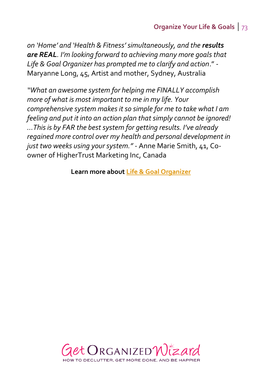*on 'Home' and 'Health & Fitness' simultaneously, and the results are REAL. I'm looking forward to achieving many more goals that Life & Goal Organizer has prompted me to clarify and action*." - Maryanne Long, 45, Artist and mother, Sydney, Australia

*"What an awesome system for helping me FINALLY accomplish more of what is most important to me in my life. Your comprehensive system makes it so simple for me to take what I am feeling and put it into an action plan that simply cannot be ignored! …This is by FAR the best system for getting results. I've already regained more control over my health and personal development in just two weeks using your system."* - Anne Marie Smith, 41, Coowner of HigherTrust Marketing Inc, Canada

**Learn more about Life [& Goal Organizer](http://www.getorganizedwizard.com/products/life-and-goal-organizer/?utm_source=OYLG&utm_medium=PDF&utm_campaign=Download)** 

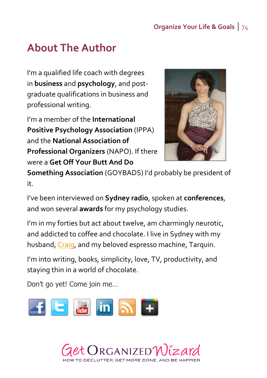## **About The Author**

I'm a qualified life coach with degrees in **business** and **psychology**, and postgraduate qualifications in business and professional writing.

I'm a member of the **International Positive Psychology Association** (IPPA) and the **National Association of Professional Organizers** (NAPO). If there were a **Get Off Your Butt And Do** 



**Something Association** (GOYBADS) I'd probably be president of it.

I've been interviewed on **Sydney radio**, spoken at **conferences**, and won several **awards** for my psychology studies.

I'm in my forties but act about twelve, am charmingly neurotic, and addicted to coffee and chocolate. I live in Sydney with my husband, [Craig,](http://www.craigbailey.net/) and my beloved espresso machine, Tarquin.

I'm into writing, books, simplicity, love, TV, productivity, and staying thin in a world of chocolate.

Don't go yet! Come join me…



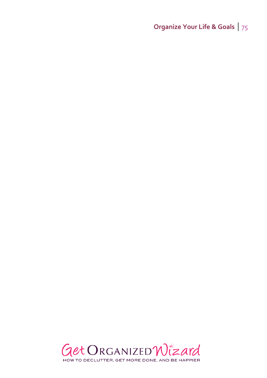## **Organize Your Life & Goals** 75